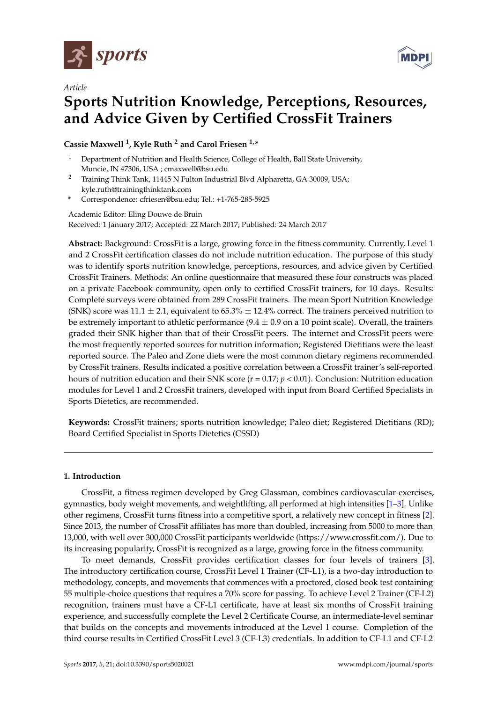

*Article*



**MDPI** 

# **Sports Nutrition Knowledge, Perceptions, Resources, and Advice Given by Certified CrossFit Trainers**

### **Cassie Maxwell <sup>1</sup> , Kyle Ruth <sup>2</sup> and Carol Friesen 1,\***

- Department of Nutrition and Health Science, College of Health, Ball State University, Muncie, IN 47306, USA ; cmaxwell@bsu.edu
- <sup>2</sup> Training Think Tank, 11445 N Fulton Industrial Blvd Alpharetta, GA 30009, USA; kyle.ruth@trainingthinktank.com
- **\*** Correspondence: cfriesen@bsu.edu; Tel.: +1-765-285-5925

Academic Editor: Eling Douwe de Bruin Received: 1 January 2017; Accepted: 22 March 2017; Published: 24 March 2017

**Abstract:** Background: CrossFit is a large, growing force in the fitness community. Currently, Level 1 and 2 CrossFit certification classes do not include nutrition education. The purpose of this study was to identify sports nutrition knowledge, perceptions, resources, and advice given by Certified CrossFit Trainers. Methods: An online questionnaire that measured these four constructs was placed on a private Facebook community, open only to certified CrossFit trainers, for 10 days. Results: Complete surveys were obtained from 289 CrossFit trainers. The mean Sport Nutrition Knowledge (SNK) score was  $11.1 \pm 2.1$ , equivalent to 65.3%  $\pm$  12.4% correct. The trainers perceived nutrition to be extremely important to athletic performance  $(9.4 \pm 0.9 \text{ on a 10 point scale})$ . Overall, the trainers graded their SNK higher than that of their CrossFit peers. The internet and CrossFit peers were the most frequently reported sources for nutrition information; Registered Dietitians were the least reported source. The Paleo and Zone diets were the most common dietary regimens recommended by CrossFit trainers. Results indicated a positive correlation between a CrossFit trainer's self-reported hours of nutrition education and their SNK score (r = 0.17; *p* < 0.01). Conclusion: Nutrition education modules for Level 1 and 2 CrossFit trainers, developed with input from Board Certified Specialists in Sports Dietetics, are recommended.

**Keywords:** CrossFit trainers; sports nutrition knowledge; Paleo diet; Registered Dietitians (RD); Board Certified Specialist in Sports Dietetics (CSSD)

#### **1. Introduction**

CrossFit, a fitness regimen developed by Greg Glassman, combines cardiovascular exercises, gymnastics, body weight movements, and weightlifting, all performed at high intensities [\[1–](#page-7-0)[3\]](#page-7-1). Unlike other regimens, CrossFit turns fitness into a competitive sport, a relatively new concept in fitness [\[2\]](#page-7-2). Since 2013, the number of CrossFit affiliates has more than doubled, increasing from 5000 to more than 13,000, with well over 300,000 CrossFit participants worldwide (https://www.crossfit.com/). Due to its increasing popularity, CrossFit is recognized as a large, growing force in the fitness community.

To meet demands, CrossFit provides certification classes for four levels of trainers [\[3\]](#page-7-1). The introductory certification course, CrossFit Level 1 Trainer (CF-L1), is a two-day introduction to methodology, concepts, and movements that commences with a proctored, closed book test containing 55 multiple-choice questions that requires a 70% score for passing. To achieve Level 2 Trainer (CF-L2) recognition, trainers must have a CF-L1 certificate, have at least six months of CrossFit training experience, and successfully complete the Level 2 Certificate Course, an intermediate-level seminar that builds on the concepts and movements introduced at the Level 1 course. Completion of the third course results in Certified CrossFit Level 3 (CF-L3) credentials. In addition to CF-L1 and CF-L2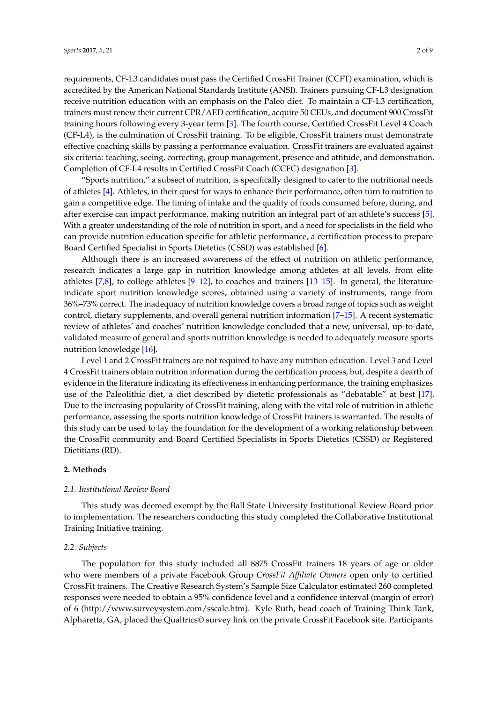requirements, CF-L3 candidates must pass the Certified CrossFit Trainer (CCFT) examination, which is accredited by the American National Standards Institute (ANSI). Trainers pursuing CF-L3 designation receive nutrition education with an emphasis on the Paleo diet. To maintain a CF-L3 certification, trainers must renew their current CPR/AED certification, acquire 50 CEUs, and document 900 CrossFit training hours following every 3-year term [\[3\]](#page-7-1). The fourth course, Certified CrossFit Level 4 Coach (CF-L4), is the culmination of CrossFit training. To be eligible, CrossFit trainers must demonstrate effective coaching skills by passing a performance evaluation. CrossFit trainers are evaluated against six criteria: teaching, seeing, correcting, group management, presence and attitude, and demonstration. Completion of CF-L4 results in Certified CrossFit Coach (CCFC) designation [\[3\]](#page-7-1).

"Sports nutrition," a subsect of nutrition, is specifically designed to cater to the nutritional needs of athletes [\[4\]](#page-7-3). Athletes, in their quest for ways to enhance their performance, often turn to nutrition to gain a competitive edge. The timing of intake and the quality of foods consumed before, during, and after exercise can impact performance, making nutrition an integral part of an athlete's success [\[5\]](#page-7-4). With a greater understanding of the role of nutrition in sport, and a need for specialists in the field who can provide nutrition education specific for athletic performance, a certification process to prepare Board Certified Specialist in Sports Dietetics (CSSD) was established [\[6\]](#page-7-5).

Although there is an increased awareness of the effect of nutrition on athletic performance, research indicates a large gap in nutrition knowledge among athletes at all levels, from elite athletes [\[7,](#page-7-6)[8\]](#page-7-7), to college athletes [\[9–](#page-7-8)[12\]](#page-8-0), to coaches and trainers [\[13–](#page-8-1)[15\]](#page-8-2). In general, the literature indicate sport nutrition knowledge scores, obtained using a variety of instruments, range from 36%–73% correct. The inadequacy of nutrition knowledge covers a broad range of topics such as weight control, dietary supplements, and overall general nutrition information [\[7](#page-7-6)[–15\]](#page-8-2). A recent systematic review of athletes' and coaches' nutrition knowledge concluded that a new, universal, up-to-date, validated measure of general and sports nutrition knowledge is needed to adequately measure sports nutrition knowledge [\[16\]](#page-8-3).

Level 1 and 2 CrossFit trainers are not required to have any nutrition education. Level 3 and Level 4 CrossFit trainers obtain nutrition information during the certification process, but, despite a dearth of evidence in the literature indicating its effectiveness in enhancing performance, the training emphasizes use of the Paleolithic diet, a diet described by dietetic professionals as "debatable" at best [\[17\]](#page-8-4). Due to the increasing popularity of CrossFit training, along with the vital role of nutrition in athletic performance, assessing the sports nutrition knowledge of CrossFit trainers is warranted. The results of this study can be used to lay the foundation for the development of a working relationship between the CrossFit community and Board Certified Specialists in Sports Dietetics (CSSD) or Registered Dietitians (RD).

#### **2. Methods**

#### *2.1. Institutional Review Board*

This study was deemed exempt by the Ball State University Institutional Review Board prior to implementation. The researchers conducting this study completed the Collaborative Institutional Training Initiative training.

#### *2.2. Subjects*

The population for this study included all 8875 CrossFit trainers 18 years of age or older who were members of a private Facebook Group *CrossFit Affiliate Owners* open only to certified CrossFit trainers. The Creative Research System's Sample Size Calculator estimated 260 completed responses were needed to obtain a 95% confidence level and a confidence interval (margin of error) of 6 (http://www.surveysystem.com/sscalc.htm). Kyle Ruth, head coach of Training Think Tank, Alpharetta, GA, placed the Qualtrics© survey link on the private CrossFit Facebook site. Participants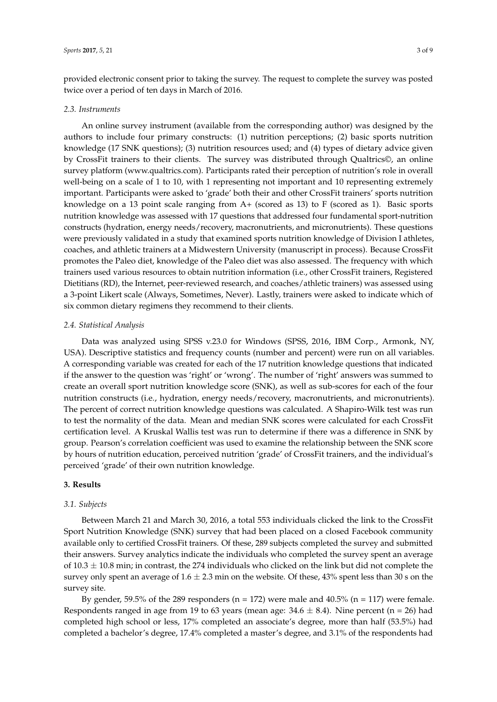provided electronic consent prior to taking the survey. The request to complete the survey was posted twice over a period of ten days in March of 2016.

#### *2.3. Instruments*

An online survey instrument (available from the corresponding author) was designed by the authors to include four primary constructs: (1) nutrition perceptions; (2) basic sports nutrition knowledge (17 SNK questions); (3) nutrition resources used; and (4) types of dietary advice given by CrossFit trainers to their clients. The survey was distributed through Qualtrics©, an online survey platform (www.qualtrics.com). Participants rated their perception of nutrition's role in overall well-being on a scale of 1 to 10, with 1 representing not important and 10 representing extremely important. Participants were asked to 'grade' both their and other CrossFit trainers' sports nutrition knowledge on a 13 point scale ranging from A+ (scored as 13) to F (scored as 1). Basic sports nutrition knowledge was assessed with 17 questions that addressed four fundamental sport-nutrition constructs (hydration, energy needs/recovery, macronutrients, and micronutrients). These questions were previously validated in a study that examined sports nutrition knowledge of Division I athletes, coaches, and athletic trainers at a Midwestern University (manuscript in process). Because CrossFit promotes the Paleo diet, knowledge of the Paleo diet was also assessed. The frequency with which trainers used various resources to obtain nutrition information (i.e., other CrossFit trainers, Registered Dietitians (RD), the Internet, peer-reviewed research, and coaches/athletic trainers) was assessed using a 3-point Likert scale (Always, Sometimes, Never). Lastly, trainers were asked to indicate which of six common dietary regimens they recommend to their clients.

#### *2.4. Statistical Analysis*

Data was analyzed using SPSS v.23.0 for Windows (SPSS, 2016, IBM Corp., Armonk, NY, USA). Descriptive statistics and frequency counts (number and percent) were run on all variables. A corresponding variable was created for each of the 17 nutrition knowledge questions that indicated if the answer to the question was 'right' or 'wrong'. The number of 'right' answers was summed to create an overall sport nutrition knowledge score (SNK), as well as sub-scores for each of the four nutrition constructs (i.e., hydration, energy needs/recovery, macronutrients, and micronutrients). The percent of correct nutrition knowledge questions was calculated. A Shapiro-Wilk test was run to test the normality of the data. Mean and median SNK scores were calculated for each CrossFit certification level. A Kruskal Wallis test was run to determine if there was a difference in SNK by group. Pearson's correlation coefficient was used to examine the relationship between the SNK score by hours of nutrition education, perceived nutrition 'grade' of CrossFit trainers, and the individual's perceived 'grade' of their own nutrition knowledge.

#### **3. Results**

#### *3.1. Subjects*

Between March 21 and March 30, 2016, a total 553 individuals clicked the link to the CrossFit Sport Nutrition Knowledge (SNK) survey that had been placed on a closed Facebook community available only to certified CrossFit trainers. Of these, 289 subjects completed the survey and submitted their answers. Survey analytics indicate the individuals who completed the survey spent an average of  $10.3 \pm 10.8$  min; in contrast, the 274 individuals who clicked on the link but did not complete the survey only spent an average of  $1.6 \pm 2.3$  min on the website. Of these, 43% spent less than 30 s on the survey site.

By gender, 59.5% of the 289 responders ( $n = 172$ ) were male and 40.5% ( $n = 117$ ) were female. Respondents ranged in age from 19 to 63 years (mean age:  $34.6 \pm 8.4$ ). Nine percent (n = 26) had completed high school or less, 17% completed an associate's degree, more than half (53.5%) had completed a bachelor's degree, 17.4% completed a master's degree, and 3.1% of the respondents had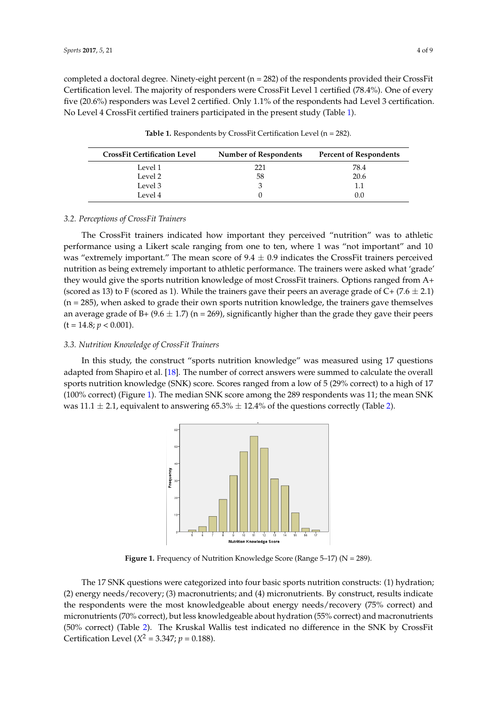completed a doctoral degree. Ninety-eight percent (n = 282) of the respondents provided their CrossFit Certification level. The majority of responders were CrossFit Level 1 certified (78.4%). One of every five (20.6%) responders was Level 2 certified. Only 1.1% of the respondents had Level 3 certification. No Level 4 CrossFit certified trainers participated in the present study (Table [1\)](#page-3-0).

**Table 1.** Respondents by CrossFit Certification Level (n = 282).

<span id="page-3-0"></span>

| <b>CrossFit Certification Level</b> | Number of Respondents | <b>Percent of Respondents</b> |
|-------------------------------------|-----------------------|-------------------------------|
| Level 1                             | 221                   | 78.4                          |
| Level 2                             | 58                    | 20.6                          |
| Level 3                             | 3                     | 1.1                           |
| Level 4                             |                       | 0.0                           |

#### 3.2. Perceptions of CrossFit Trainers

The CrossFit trainers indicated how important they perceived "nutrition" was to athletic performance using a Likert scale ranging from one to ten, where 1 was "not important" and 10 was "extremely important." The mean score of  $9.4 \pm 0.9$  indicates the CrossFit trainers perceived nutrition as being extremely important to athletic performance. The trainers were asked what 'grade' they would give the sports nutrition knowledge of most CrossFit trainers. Options ranged from A+ (scored as 13) to F (scored as 1). While the trainers gave their peers an average grade of C+ (7.6  $\pm$  2.1)  $(n = 285)$ , when asked to grade their own sports nutrition knowledge, the trainers gave themselves an average grade of B+ (9.6  $\pm$  1.7) (n = 269), significantly higher than the grade they gave their peers  $(t = 14.8; p < 0.001)$ . Level marchine 4 100 mportant they perceived the as 13) to F (scored as 1). While the training gave the training person of  $\alpha$  (7.6  $\alpha$  (7.6  $\alpha$  (7.6  $\alpha$  ),  $\alpha$  $w_{\rm r}$  as the trainers number of training gave the trainers gave the trainers gave themselves and average themselves and average themselves and average themselves and average themselves and average themselves and averag

## 3.3. Nutrition Knowledge of CrossFit Trainers

<span id="page-3-1"></span>In this study, the construct "sports nutrition knowledge" was measured using 17 questions adapted from Shapiro et al. [\[18\]](#page-8-5). The number of correct answers were summed to calculate the overall sports nutrition knowledge (SNK) score. Scores ranged from a low of 5 (29% correct) to a high of 17 100% correct) (Figure [1\)](#page-3-1). The median SNK score among the 289 respondents was 11; the mean SNK was  $11.1 \pm 2.1$ , equivalent to answering  $65.3\% \pm 12.4\%$  of the questions correctly (Table [2\)](#page-4-0).  $1 \pm 2.1$ , equivalent to answering 65.3%  $\pm$  12.4% of the questions correctly (Table 2).



**Figure 1.** Frequency of Nutrition Knowledge Score (Range 5–17) (N = 289). **Figure 1.** Frequency of Nutrition Knowledge Score (Range 5–17) (N = 289).

The 17 SNK questions were categorized into four basic sports nutrition constructs: (1) hydration; (2) energy needs/recovery; (3) macronutrients; and (4) micronutrients. By construct, results indicate the respondents were the most knowledgeable about energy needs/recovery (75% correct) and micronutrients (70% correct), but less knowledgeable about hydration (55% correct) and macronutrients CrossFit Certification Level (*X*<sup>2</sup> = 3.347; *p* = 0.188). (50% correct) (Table [2\)](#page-4-0). The Kruskal Wallis test indicated no difference in the SNK by CrossFit Certification Level ( $X^2 = 3.347; p = 0.188$ ).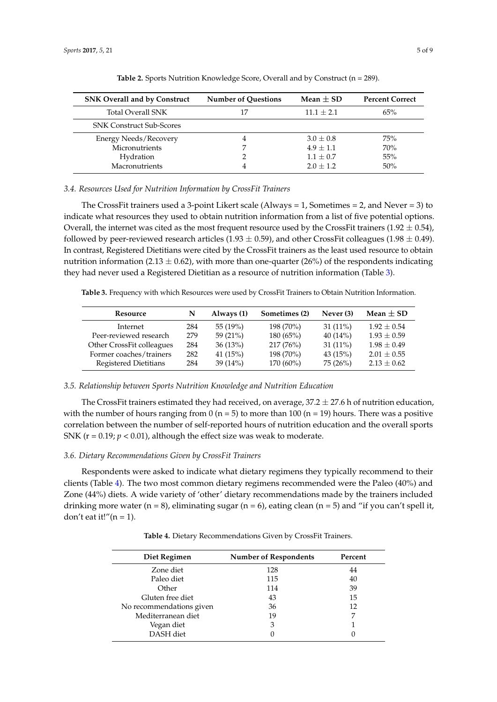<span id="page-4-0"></span>

| <b>SNK Overall and by Construct</b> | <b>Number of Questions</b> | Mean $\pm$ SD | <b>Percent Correct</b> |
|-------------------------------------|----------------------------|---------------|------------------------|
| <b>Total Overall SNK</b>            | 17                         | $11.1 + 2.1$  | 65%                    |
| <b>SNK Construct Sub-Scores</b>     |                            |               |                        |
| <b>Energy Needs/Recovery</b>        | 4                          | $3.0 + 0.8$   | 75%                    |
| Micronutrients                      |                            | $4.9 + 1.1$   | 70%                    |
| Hydration                           |                            | $1.1 + 0.7$   | 55%                    |
| Macronutrients                      | 4                          | $2.0 + 1.2$   | 50%                    |

Table 2. Sports Nutrition Knowledge Score, Overall and by Construct (n = 289).

*3.4. Resources Used for Nutrition Information by CrossFit Trainers*

The CrossFit trainers used a 3-point Likert scale (Always = 1, Sometimes = 2, and Never = 3) to indicate what resources they used to obtain nutrition information from a list of five potential options. Overall, the internet was cited as the most frequent resource used by the CrossFit trainers (1.92  $\pm$  0.54), followed by peer-reviewed research articles (1.93  $\pm$  0.59), and other CrossFit colleagues (1.98  $\pm$  0.49). In contrast, Registered Dietitians were cited by the CrossFit trainers as the least used resource to obtain nutrition information (2.13  $\pm$  0.62), with more than one-quarter (26%) of the respondents indicating they had never used a Registered Dietitian as a resource of nutrition information (Table [3\)](#page-4-1).

<span id="page-4-1"></span>**Table 3.** Frequency with which Resources were used by CrossFit Trainers to Obtain Nutrition Information.

| Resource                  | N   | Always (1) | Sometimes (2) | Never (3)  | Mean $\pm$ SD   |
|---------------------------|-----|------------|---------------|------------|-----------------|
| Internet                  | 284 | 55 (19%)   | 198 (70%)     | $31(11\%)$ | $1.92 + 0.54$   |
| Peer-reviewed research    | 279 | 59 $(21%)$ | 180(65%)      | 40(14%)    | $1.93 + 0.59$   |
| Other CrossFit colleagues | 284 | 36(13%)    | 217(76%)      | $31(11\%)$ | $1.98 + 0.49$   |
| Former coaches/trainers   | 282 | 41 $(15%)$ | 198 (70%)     | 43(15%)    | $2.01 + 0.55$   |
| Registered Dietitians     | 284 | 39(14%)    | $170(60\%)$   | 75(26%)    | $2.13 \pm 0.62$ |

#### *3.5. Relationship between Sports Nutrition Knowledge and Nutrition Education*

The CrossFit trainers estimated they had received, on average,  $37.2 \pm 27.6$  h of nutrition education, with the number of hours ranging from  $0$  (n = 5) to more than 100 (n = 19) hours. There was a positive correlation between the number of self-reported hours of nutrition education and the overall sports SNK ( $r = 0.19$ ;  $p < 0.01$ ), although the effect size was weak to moderate.

#### *3.6. Dietary Recommendations Given by CrossFit Trainers*

Respondents were asked to indicate what dietary regimens they typically recommend to their clients (Table [4\)](#page-4-2). The two most common dietary regimens recommended were the Paleo (40%) and Zone (44%) diets. A wide variety of 'other' dietary recommendations made by the trainers included drinking more water ( $n = 8$ ), eliminating sugar ( $n = 6$ ), eating clean ( $n = 5$ ) and "if you can't spell it, don't eat it!" $(n = 1)$ .

<span id="page-4-2"></span>

| Diet Regimen             | <b>Number of Respondents</b> | Percent |
|--------------------------|------------------------------|---------|
| Zone diet                | 128                          | 44      |
| Paleo diet               | 115                          | 40      |
| Other                    | 114                          | 39      |
| Gluten free diet         | 43                           | 15      |
| No recommendations given | 36                           | 12      |
| Mediterranean diet       | 19                           |         |
| Vegan diet               | 3                            |         |
| DASH diet                |                              |         |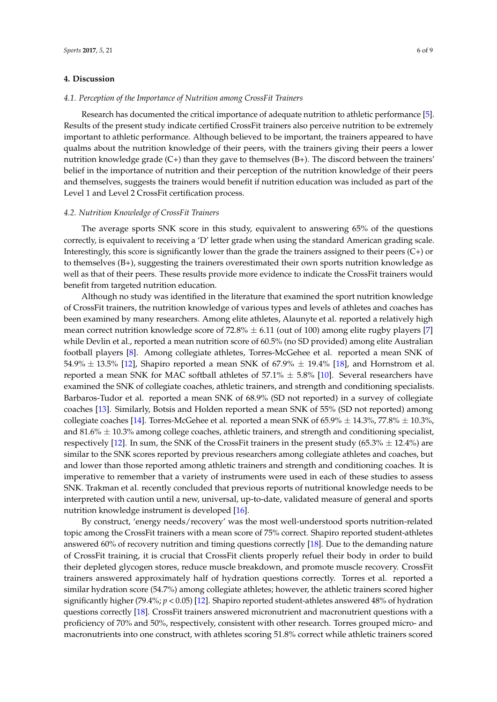#### **4. Discussion**

#### *4.1. Perception of the Importance of Nutrition among CrossFit Trainers*

Research has documented the critical importance of adequate nutrition to athletic performance [\[5\]](#page-7-4). Results of the present study indicate certified CrossFit trainers also perceive nutrition to be extremely important to athletic performance. Although believed to be important, the trainers appeared to have qualms about the nutrition knowledge of their peers, with the trainers giving their peers a lower nutrition knowledge grade  $(C+)$  than they gave to themselves  $(B+)$ . The discord between the trainers' belief in the importance of nutrition and their perception of the nutrition knowledge of their peers and themselves, suggests the trainers would benefit if nutrition education was included as part of the Level 1 and Level 2 CrossFit certification process.

#### *4.2. Nutrition Knowledge of CrossFit Trainers*

The average sports SNK score in this study, equivalent to answering 65% of the questions correctly, is equivalent to receiving a 'D' letter grade when using the standard American grading scale. Interestingly, this score is significantly lower than the grade the trainers assigned to their peers (C+) or to themselves (B+), suggesting the trainers overestimated their own sports nutrition knowledge as well as that of their peers. These results provide more evidence to indicate the CrossFit trainers would benefit from targeted nutrition education.

Although no study was identified in the literature that examined the sport nutrition knowledge of CrossFit trainers, the nutrition knowledge of various types and levels of athletes and coaches has been examined by many researchers. Among elite athletes, Alaunyte et al. reported a relatively high mean correct nutrition knowledge score of  $72.8\% \pm 6.11$  (out of 100) among elite rugby players [\[7\]](#page-7-6) while Devlin et al., reported a mean nutrition score of 60.5% (no SD provided) among elite Australian football players [\[8\]](#page-7-7). Among collegiate athletes, Torres-McGehee et al. reported a mean SNK of 54.9%  $\pm$  13.5% [\[12\]](#page-8-0), Shapiro reported a mean SNK of 67.9%  $\pm$  19.4% [\[18\]](#page-8-5), and Hornstrom et al. reported a mean SNK for MAC softball athletes of  $57.1\% \pm 5.8\%$  [\[10\]](#page-7-9). Several researchers have examined the SNK of collegiate coaches, athletic trainers, and strength and conditioning specialists. Barbaros-Tudor et al. reported a mean SNK of 68.9% (SD not reported) in a survey of collegiate coaches [\[13\]](#page-8-1). Similarly, Botsis and Holden reported a mean SNK of 55% (SD not reported) among collegiate coaches [\[14\]](#page-8-6). Torres-McGehee et al. reported a mean SNK of  $65.9\% \pm 14.3\%$ , 77.8%  $\pm$  10.3%, and  $81.6\% \pm 10.3\%$  among college coaches, athletic trainers, and strength and conditioning specialist, respectively [\[12\]](#page-8-0). In sum, the SNK of the CrossFit trainers in the present study (65.3%  $\pm$  12.4%) are similar to the SNK scores reported by previous researchers among collegiate athletes and coaches, but and lower than those reported among athletic trainers and strength and conditioning coaches. It is imperative to remember that a variety of instruments were used in each of these studies to assess SNK. Trakman et al. recently concluded that previous reports of nutritional knowledge needs to be interpreted with caution until a new, universal, up-to-date, validated measure of general and sports nutrition knowledge instrument is developed [\[16\]](#page-8-3).

By construct, 'energy needs/recovery' was the most well-understood sports nutrition-related topic among the CrossFit trainers with a mean score of 75% correct. Shapiro reported student-athletes answered 60% of recovery nutrition and timing questions correctly [\[18\]](#page-8-5). Due to the demanding nature of CrossFit training, it is crucial that CrossFit clients properly refuel their body in order to build their depleted glycogen stores, reduce muscle breakdown, and promote muscle recovery. CrossFit trainers answered approximately half of hydration questions correctly. Torres et al. reported a similar hydration score (54.7%) among collegiate athletes; however, the athletic trainers scored higher significantly higher (79.4%; *p* < 0.05) [\[12\]](#page-8-0). Shapiro reported student-athletes answered 48% of hydration questions correctly [\[18\]](#page-8-5). CrossFit trainers answered micronutrient and macronutrient questions with a proficiency of 70% and 50%, respectively, consistent with other research. Torres grouped micro- and macronutrients into one construct, with athletes scoring 51.8% correct while athletic trainers scored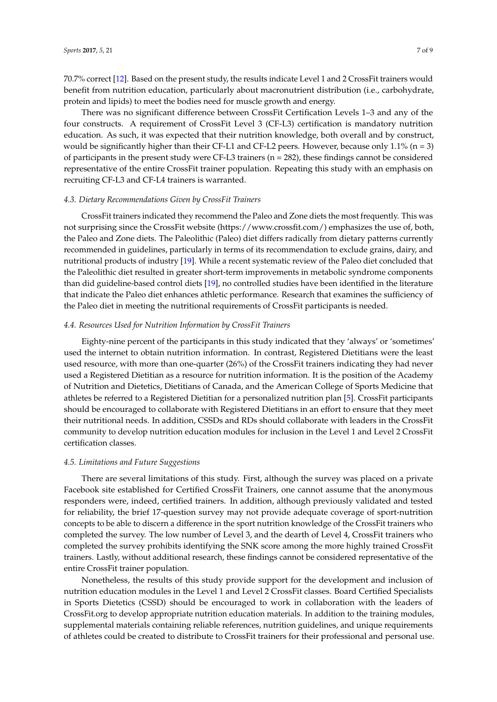70.7% correct [\[12\]](#page-8-0). Based on the present study, the results indicate Level 1 and 2 CrossFit trainers would benefit from nutrition education, particularly about macronutrient distribution (i.e., carbohydrate, protein and lipids) to meet the bodies need for muscle growth and energy.

There was no significant difference between CrossFit Certification Levels 1–3 and any of the four constructs. A requirement of CrossFit Level 3 (CF-L3) certification is mandatory nutrition education. As such, it was expected that their nutrition knowledge, both overall and by construct, would be significantly higher than their CF-L1 and CF-L2 peers. However, because only  $1.1\%$  (n = 3) of participants in the present study were CF-L3 trainers ( $n = 282$ ), these findings cannot be considered representative of the entire CrossFit trainer population. Repeating this study with an emphasis on recruiting CF-L3 and CF-L4 trainers is warranted.

#### *4.3. Dietary Recommendations Given by CrossFit Trainers*

CrossFit trainers indicated they recommend the Paleo and Zone diets the most frequently. This was not surprising since the CrossFit website (https://www.crossfit.com/) emphasizes the use of, both, the Paleo and Zone diets. The Paleolithic (Paleo) diet differs radically from dietary patterns currently recommended in guidelines, particularly in terms of its recommendation to exclude grains, dairy, and nutritional products of industry [\[19\]](#page-8-7). While a recent systematic review of the Paleo diet concluded that the Paleolithic diet resulted in greater short-term improvements in metabolic syndrome components than did guideline-based control diets [\[19\]](#page-8-7), no controlled studies have been identified in the literature that indicate the Paleo diet enhances athletic performance. Research that examines the sufficiency of the Paleo diet in meeting the nutritional requirements of CrossFit participants is needed.

#### *4.4. Resources Used for Nutrition Information by CrossFit Trainers*

Eighty-nine percent of the participants in this study indicated that they 'always' or 'sometimes' used the internet to obtain nutrition information. In contrast, Registered Dietitians were the least used resource, with more than one-quarter (26%) of the CrossFit trainers indicating they had never used a Registered Dietitian as a resource for nutrition information. It is the position of the Academy of Nutrition and Dietetics, Dietitians of Canada, and the American College of Sports Medicine that athletes be referred to a Registered Dietitian for a personalized nutrition plan [\[5\]](#page-7-4). CrossFit participants should be encouraged to collaborate with Registered Dietitians in an effort to ensure that they meet their nutritional needs. In addition, CSSDs and RDs should collaborate with leaders in the CrossFit community to develop nutrition education modules for inclusion in the Level 1 and Level 2 CrossFit certification classes.

#### *4.5. Limitations and Future Suggestions*

There are several limitations of this study. First, although the survey was placed on a private Facebook site established for Certified CrossFit Trainers, one cannot assume that the anonymous responders were, indeed, certified trainers. In addition, although previously validated and tested for reliability, the brief 17-question survey may not provide adequate coverage of sport-nutrition concepts to be able to discern a difference in the sport nutrition knowledge of the CrossFit trainers who completed the survey. The low number of Level 3, and the dearth of Level 4, CrossFit trainers who completed the survey prohibits identifying the SNK score among the more highly trained CrossFit trainers. Lastly, without additional research, these findings cannot be considered representative of the entire CrossFit trainer population.

Nonetheless, the results of this study provide support for the development and inclusion of nutrition education modules in the Level 1 and Level 2 CrossFit classes. Board Certified Specialists in Sports Dietetics (CSSD) should be encouraged to work in collaboration with the leaders of CrossFit.org to develop appropriate nutrition education materials. In addition to the training modules, supplemental materials containing reliable references, nutrition guidelines, and unique requirements of athletes could be created to distribute to CrossFit trainers for their professional and personal use.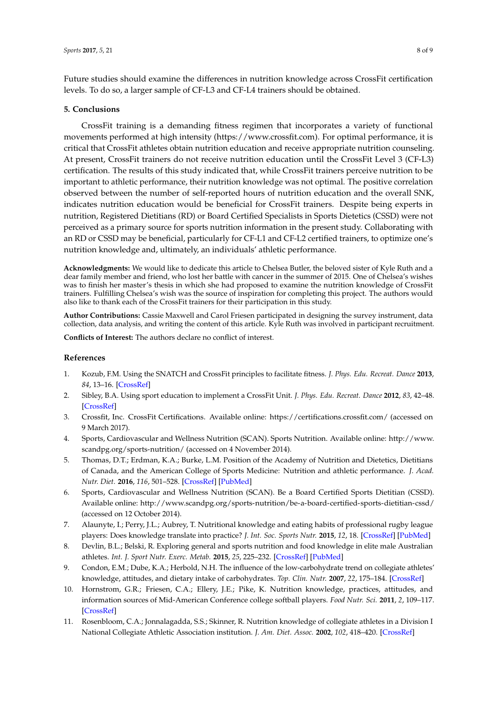Future studies should examine the differences in nutrition knowledge across CrossFit certification levels. To do so, a larger sample of CF-L3 and CF-L4 trainers should be obtained.

#### **5. Conclusions**

CrossFit training is a demanding fitness regimen that incorporates a variety of functional movements performed at high intensity (https://www.crossfit.com). For optimal performance, it is critical that CrossFit athletes obtain nutrition education and receive appropriate nutrition counseling. At present, CrossFit trainers do not receive nutrition education until the CrossFit Level 3 (CF-L3) certification. The results of this study indicated that, while CrossFit trainers perceive nutrition to be important to athletic performance, their nutrition knowledge was not optimal. The positive correlation observed between the number of self-reported hours of nutrition education and the overall SNK, indicates nutrition education would be beneficial for CrossFit trainers. Despite being experts in nutrition, Registered Dietitians (RD) or Board Certified Specialists in Sports Dietetics (CSSD) were not perceived as a primary source for sports nutrition information in the present study. Collaborating with an RD or CSSD may be beneficial, particularly for CF-L1 and CF-L2 certified trainers, to optimize one's nutrition knowledge and, ultimately, an individuals' athletic performance.

**Acknowledgments:** We would like to dedicate this article to Chelsea Butler, the beloved sister of Kyle Ruth and a dear family member and friend, who lost her battle with cancer in the summer of 2015. One of Chelsea's wishes was to finish her master's thesis in which she had proposed to examine the nutrition knowledge of CrossFit trainers. Fulfilling Chelsea's wish was the source of inspiration for completing this project. The authors would also like to thank each of the CrossFit trainers for their participation in this study.

**Author Contributions:** Cassie Maxwell and Carol Friesen participated in designing the survey instrument, data collection, data analysis, and writing the content of this article. Kyle Ruth was involved in participant recruitment.

**Conflicts of Interest:** The authors declare no conflict of interest.

#### **References**

- <span id="page-7-0"></span>1. Kozub, F.M. Using the SNATCH and CrossFit principles to facilitate fitness. *J. Phys. Edu. Recreat. Dance* **2013**, *84*, 13–16. [\[CrossRef\]](http://dx.doi.org/10.1080/07303084.2013.808121)
- <span id="page-7-2"></span>2. Sibley, B.A. Using sport education to implement a CrossFit Unit. *J. Phys. Edu. Recreat. Dance* **2012**, *83*, 42–48. [\[CrossRef\]](http://dx.doi.org/10.1080/07303084.2012.10598829)
- <span id="page-7-1"></span>3. Crossfit, Inc. CrossFit Certifications. Available online: https://certifications.crossfit.com/ (accessed on 9 March 2017).
- <span id="page-7-3"></span>4. Sports, Cardiovascular and Wellness Nutrition (SCAN). Sports Nutrition. Available online: http://www. scandpg.org/sports-nutrition/ (accessed on 4 November 2014).
- <span id="page-7-4"></span>5. Thomas, D.T.; Erdman, K.A.; Burke, L.M. Position of the Academy of Nutrition and Dietetics, Dietitians of Canada, and the American College of Sports Medicine: Nutrition and athletic performance. *J. Acad. Nutr. Diet.* **2016**, *116*, 501–528. [\[CrossRef\]](http://dx.doi.org/10.1016/j.jand.2015.12.006) [\[PubMed\]](http://www.ncbi.nlm.nih.gov/pubmed/26920240)
- <span id="page-7-5"></span>6. Sports, Cardiovascular and Wellness Nutrition (SCAN). Be a Board Certified Sports Dietitian (CSSD). Available online: http://www.scandpg.org/sports-nutrition/be-a-board-certified-sports-dietitian-cssd/ (accessed on 12 October 2014).
- <span id="page-7-6"></span>7. Alaunyte, I.; Perry, J.L.; Aubrey, T. Nutritional knowledge and eating habits of professional rugby league players: Does knowledge translate into practice? *J. Int. Soc. Sports Nutr.* **2015**, *12*, 18. [\[CrossRef\]](http://dx.doi.org/10.1186/s12970-015-0082-y) [\[PubMed\]](http://www.ncbi.nlm.nih.gov/pubmed/25897297)
- <span id="page-7-7"></span>8. Devlin, B.L.; Belski, R. Exploring general and sports nutrition and food knowledge in elite male Australian athletes. *Int. J. Sport Nutr. Exerc. Metab.* **2015**, *25*, 225–232. [\[CrossRef\]](http://dx.doi.org/10.1123/ijsnem.2013-0259) [\[PubMed\]](http://www.ncbi.nlm.nih.gov/pubmed/25387042)
- <span id="page-7-8"></span>9. Condon, E.M.; Dube, K.A.; Herbold, N.H. The influence of the low-carbohydrate trend on collegiate athletes' knowledge, attitudes, and dietary intake of carbohydrates. *Top. Clin. Nutr.* **2007**, *22*, 175–184. [\[CrossRef\]](http://dx.doi.org/10.1097/01.TIN.0000270136.22969.d7)
- <span id="page-7-9"></span>10. Hornstrom, G.R.; Friesen, C.A.; Ellery, J.E.; Pike, K. Nutrition knowledge, practices, attitudes, and information sources of Mid-American Conference college softball players. *Food Nutr. Sci.* **2011**, *2*, 109–117. [\[CrossRef\]](http://dx.doi.org/10.4236/fns.2011.22015)
- 11. Rosenbloom, C.A.; Jonnalagadda, S.S.; Skinner, R. Nutrition knowledge of collegiate athletes in a Division I National Collegiate Athletic Association institution. *J. Am. Diet. Assoc.* **2002**, *102*, 418–420. [\[CrossRef\]](http://dx.doi.org/10.1016/S0002-8223(02)90098-2)